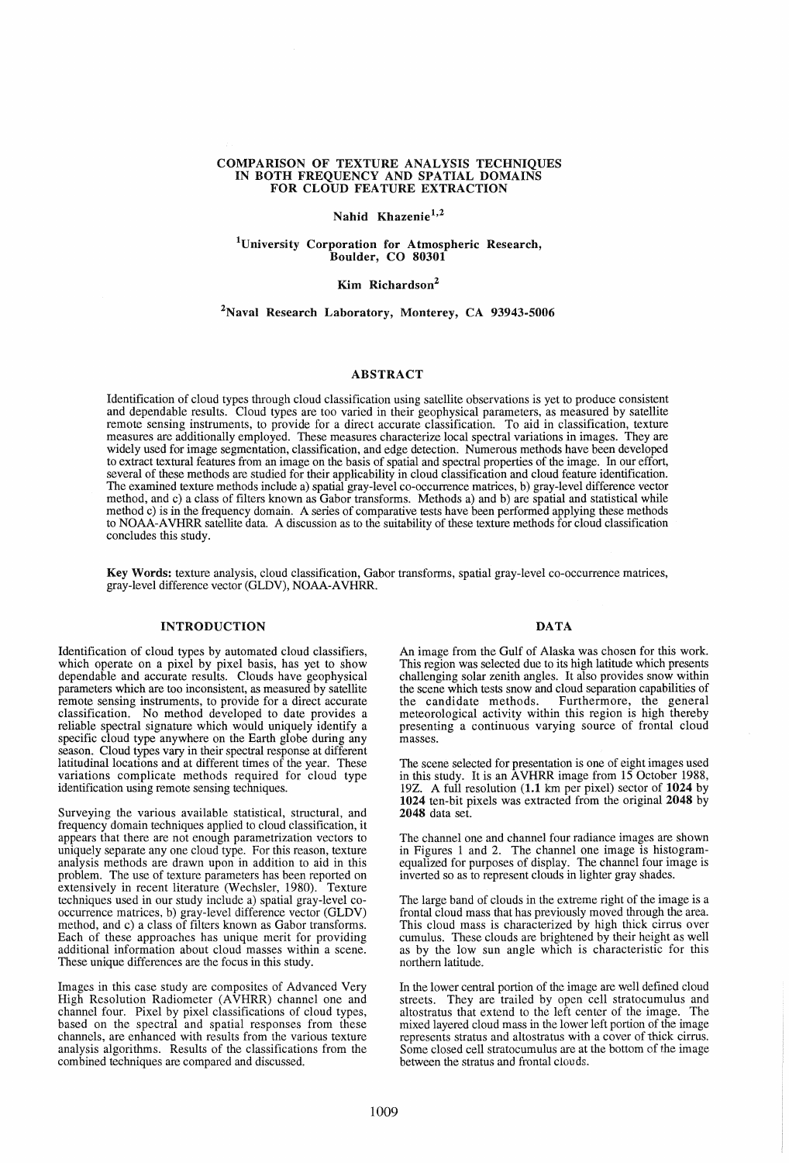## COMPARISON OF TEXTURE ANALYSIS TECHNIQUES IN BOTH FREQUENCY AND SPATIAL DOMAINS FOR CLOUD FEATURE EXTRACTION

# Nahid Khazenie<sup>1,2</sup>

#### lUniversity Corporation for Atmospheric Research, Boulder, CO 80301

## Kim Richardson<sup>2</sup>

#### 2Naval Research Laboratory, Monterey, CA 93943-5006

#### ABSTRACT

Identification of cloud types through cloud classification using satellite observations is yet to produce consistent and dependable results. Cloud types are too varied in their geophysical parameters, as measured by satellite remote sensing instruments, to provide for a direct accurate classification. To aid in classification, texture measures are additionally employed. These measures characterize local spectral variations in images. They are widely used for image segmentation, classification, and edge detection. Numerous methods have been developed to extract textural features from an image on the basis of spatial and spectral properties of the image. In our effort, several of these methods are studied for their applicability in cloud classification and cloud feature identification. The examined texture methods include a) spatial gray-level co-occurrence matrices, b) gray-level difference vector method, and c) a class of filters known as Gabor transforms. Methods a) and b) are spatial and statistical while method c) is in the frequency domain. A series of comparative tests have been performed applying these methods to NOAA-A VHRR satellite data. A discussion as to the suitability of these texture methods for cloud classification concludes this study.

Key Words: texture analysis, cloud classification, Gabor transforms, spatial gray-level co-occurrence matrices, gray-level difference vector (GLDV), NOAA-A VHRR.

### INTRODUCTION

Identification of cloud types by automated cloud classifiers, which operate on a pixel by pixel basis, has yet to show dependable and accurate results. Clouds have geophysical parameters which are too inconsistent, as measured by satellite remote sensing instruments, to provide for a direct accurate classification. No method developed to date provides a reliable spectral signature which would uniquely identify a specific cloud type anywhere on the Earth globe during any season. Cloud types vary in their spectral response at different latitudinal locations and at different times of the year. These variations complicate methods required for cloud type identification using remote sensing techniques.

Surveying the various available statistical, structural, and frequency domain techniques applied to cloud classification, it appears that there are not enough parametrization vectors to uniquely separate anyone cloud type. For this reason, texture analysis methods are drawn upon in addition to aid in this problem. The use of texture parameters has been reported on extensively in recent literature (Wechsler, 1980). Texture techniques used in our study include a) spatial gray-level cooccurrence matrices, b) gray-level difference vector (GLDV) method, and c) a class of filters known as Gabor transforms. Each of these approaches has unique merit for providing additional information about cloud masses within a scene. These unique differences are the focus in this study.

Images in this case study are composites of Advanced Very High Resolution Radiometer (AVHRR) channel one and channel four. Pixel by pixel classifications of cloud types, based on the spectral and spatial responses from these channels, are enhanced with results from the various texture analysis algorithms. Results of the classifications from the combined techniques are compared and discussed.

#### DATA

An image from the Gulf of Alaska was chosen for this work. This region was selected due to its high latitude which presents challenging solar zenith angles. It also provides snow within the scene which tests snow and cloud separation capabilities of the candidate methods. Furthermore, the general meteorological activity within this region is high thereby presenting a continuous varying source of frontal cloud masses.

The scene selected for presentation is one of eight images used in this study. It is an AVHRR image from 15 October 1988, 19Z. A full resolution (1.1 km per pixel) sector of 1024 by 1024 ten-bit pixels was extracted from the original 2048 by 2048 data set.

The channel one and channel four radiance images are shown in Figures 1 and 2. The channel one image is histogramequalized for purposes of display. The channel four image is inverted so as to represent clouds in lighter gray shades.

The large band of clouds in the extreme right of the image is a frontal cloud mass that has previously moved through the area. This cloud mass is characterized by high thick cirrus over cumulus. These clouds are brightened by their height as well as by the low sun angle which is characteristic for this northern latitude.

In the lower central portion of the image are well defined cloud streets. They are trailed by open cell stratocumulus and altostratus that extend to the left center of the image. The mixed layered cloud mass in the lower left portion of the image represents stratus and altostratus with a cover of thick cirrus. Some closed cell stratocumulus are at the bottom of the image between the stratus and frontal clouds.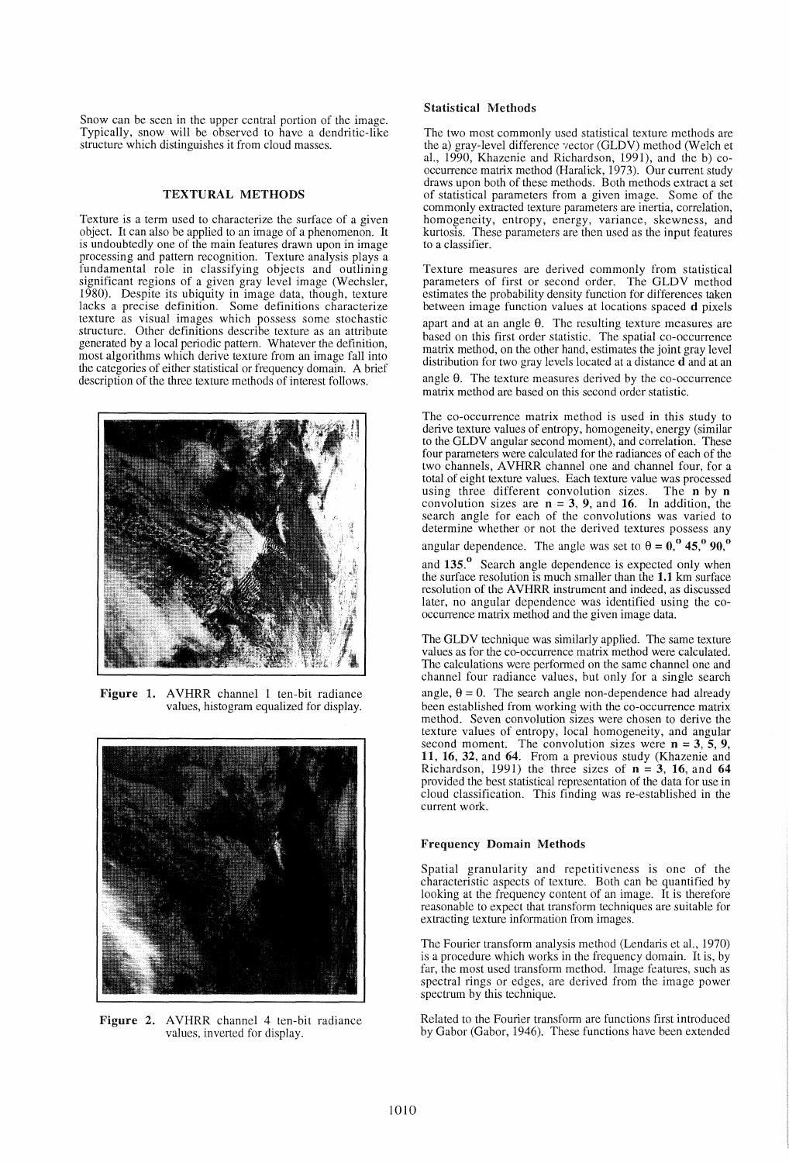Snow can be seen in the upper central portion of the image. Typically, snow will be observed to have a dendritic-like structure which distinguishes it from cloud masses.

### TEXTURAL METHODS

Texture is a term used to characterize the surface of a given object. It can also be applied to an image of a phenomenon. It is undoubtedly one of the main features drawn upon in image processing and pattern recognition. Texture analysis plays a fundamental role in classifying objects and outlining significant regions of a given gray level image (Wechsler, 1980). Despite its ubiquity in image data, though, texture lacks a precise definition. Some definitions characterize texture as visual images which possess some stochastic structure. Other definitions describe texture as an attribute generated by a local periodic pattern. Whatever the definition, most algorithms which derive texture from an image fall into the categories of either statistical or frequency domain. A brief description of the three texture methods of interest follows.



Figure 1. AVHRR channel 1 ten-bit radiance values, histogram equalized for display.



Figure 2. AVHRR channel 4 ten-bit radiance values, inverted for display.

## Statistical Methods

The two most commonly used statistical texture methods are the a) gray-level difference vector (GLDV) method (Welch et aI., 1990, Khazenie and Richardson, 1991), and the b) cooccurrence matrix method (Haralick, 1973). Our current study draws upon both of these methods. Both methods extract a set of statistical parameters from a given image. Some of the commonly extracted texture parameters are inertia, correlation, homogeneity, entropy, energy, variance, skewness, and kurtosis. These parameters are then used as the input features to a classifier.

Texture measures are derived commonly from statistical parameters of first or second order. The GLDV method estimates the probability density function for differences taken between image function values at locations spaced d pixels apart and at an angle  $\theta$ . The resulting texture measures are based on this first order statistic. The spatial co-occurrence matrix method, on the other hand, estimates the joint gray level distribution for two gray levels located at a distance d and at an angle  $\theta$ . The texture measures derived by the co-occurrence

matrix method are based on this second order statistic.

The co-occurrence matrix method is used in this study to derive texture values of entropy, homogeneity, energy (similar to the GLDV angular second moment), and correlation. These four parameters were calculated for the radiances of each of the two channels, AVHRR channel one and channel four, for a total of eight texture values. Each texture value was processed using three different convolution sizes. The n by n convolution sizes are  $n = 3, 9$ , and 16. In addition, the search angle for each of the convolutions was varied to determine whether or not the derived textures possess any angular dependence. The angle was set to  $\theta = 0$ ,  $0.45$ ,  $0.90$ ,  $0.0$ 

and 135.<sup>°</sup> Search angle dependence is expected only when the surface resolution is much smaller than the 1.1 km surface resolution of the AVHRR instrument and indeed, as discussed later, no angular dependence was identified using the cooccurrence matrix method and the given image data.

The GLDV technique was similarly applied. The same texture values as for the co-occurrence matrix method were calculated. The calculations were performed on the same channel one and channel four radiance values, but only for a single search angle,  $\theta = 0$ . The search angle non-dependence had already been established from working with the co-occurrence matrix method. Seven convolution sizes were chosen to derive the texture values of entropy, local homogeneity, and angular second moment. The convolution sizes were  $n = 3, 5, 9$ , 11, 16, 32, and 64. From a previous study (Khazenie and Richardson, 1991) the three sizes of  $n = 3$ , 16, and 64 provided the best statistical representation of the data for use in cloud classification. This finding was re-established in the current work.

#### Frequency Domain Methods

Spatial granularity and repetitiveness is one of the characteristic aspects of texture. Both can be quantified by looking at the frequency content of an image. It is therefore reasonable to expect that transform techniques are suitable for extracting texture information from images.

The Fourier transform analysis method (Lendaris et al., 1970) is a procedure which works in the frequency domain. It is, by far, the most used transform method. Image features, such as spectral rings or edges, are derived from the image power spectrum by this technique.

Related to the Fourier transform are functions first introduced by Gabor (Gabor, 1946). These functions have been extended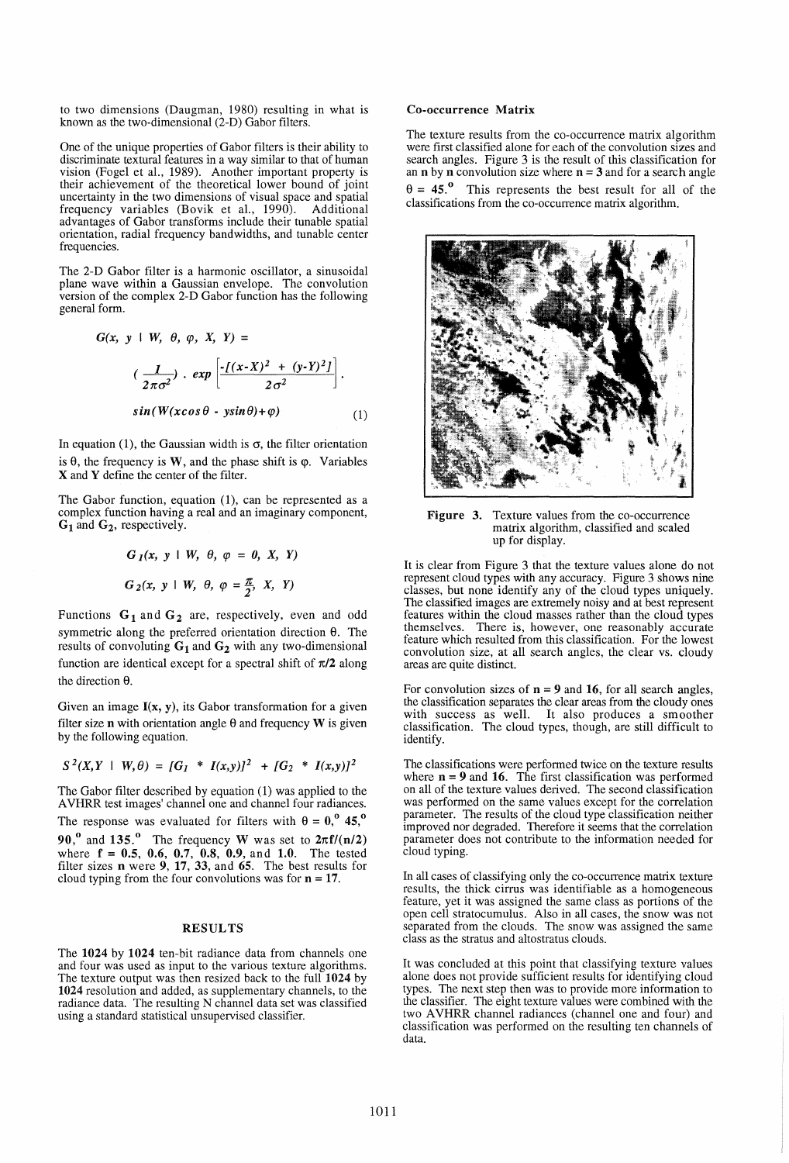to two dimensions (Daugman, 1980) resulting in what is known as the two-dimensional  $(2-D)$  Gabor filters.

One of the unique properties of Gabor filters is their ability to discriminate textural features in a way similar to that of human vision (Fogel et aI., 1989). Another important property is their achievement of the theoretical lower bound of joint uncertainty in the two dimensions of visual space and spatial frequency variables (Bovik et aI., 1990). Additional advantages of Gabor transforms include their tunable spatial orientation, radial frequency bandwidths, and tunable center frequencies.

The 2-D Gabor filter is a harmonic oscillator, a sinusoidal plane wave within a Gaussian envelope. The convolution version of the complex 2-D Gabor function has the following general form.

$$
G(x, y \mid W, \theta, \varphi, X, Y) =
$$
  

$$
\left(\frac{1}{2\pi\sigma^2}\right) \cdot \exp\left[\frac{-f(x-X)^2 + (y-Y)^2J}{2\sigma^2}\right].
$$
  

$$
\sin(W(x\cos\theta - y\sin\theta) + \varphi)
$$
 (1)

In equation (1), the Gaussian width is  $\sigma$ , the filter orientation is  $\theta$ , the frequency is W, and the phase shift is  $\varphi$ . Variables X and Y define the center of the filter.

The Gabor function, equation (1), can be represented as a complex function having a real and an imaginary component,  $G_1$  and  $G_2$ , respectively.

$$
G_1(x, y \mid W, \theta, \varphi = 0, X, Y)
$$
  

$$
G_2(x, y \mid W, \theta, \varphi = \frac{\pi}{2}, X, Y)
$$

Functions  $G_1$  and  $G_2$  are, respectively, even and odd symmetric along the preferred orientation direction  $\theta$ . The results of convoluting  $G_1$  and  $G_2$  with any two-dimensional function are identical except for a spectral shift of  $\pi/2$  along the direction  $\theta$ .

Given an image  $I(x, y)$ , its Gabor transformation for a given filter size **n** with orientation angle  $\theta$  and frequency **W** is given by the following equation.

$$
S^{2}(X,Y + W, \theta) = [G_{I} * I(x,y)]^{2} + [G_{2} * I(x,y)]^{2}
$$

The Gabor filter described by equation (I) was applied to the A VHRR test images' channel one and channel four radiances. The response was evaluated for filters with  $\theta = 0$ ,  $0.45$ ,  $0.001$ 90,<sup>0</sup> and 135.<sup>0</sup> The frequency W was set to  $2\pi f/(n/2)$ where  $f = 0.5, 0.6, 0.7, 0.8, 0.9,$  and 1.0. The tested filter sizes **n** were 9, 17, 33, and 65. The best results for cloud typing from the four convolutions was for  $n = 17$ .

#### RESULTS

The 1024 by 1024 ten-bit radiance data from channels one and four was used as input to the various texture algorithms. The texture output was then resized back to the full 1024 by 1024 resolution and added, as supplementary channels, to the radiance data. The resulting N channel data set was classified using a standard statistical unsupervised classifier.

#### Co-occurrence Matrix

The texture results from the co-occurrence matrix algorithm were first classified alone for each of the convolution sizes and search angles. Figure 3 is the result of this classification for an **n** by **n** convolution size where  $n = 3$  and for a search angle  $\theta = 45.$ <sup>o</sup> This represents the best result for all of the classifications from the co-occurrence matrix algorithm.



Figure 3. Texture values from the co-occurrence matrix algorithm, classified and scaled up for display.

It is clear from Figure 3 that the texture values alone do not represent cloud types with any accuracy. Figure 3 shows nine classes, but none identify any of the cloud types uniquely. The classified images are extremely noisy and at best represent features within the cloud masses rather than the cloud types themselves. There is, however, one reasonably accurate feature which resulted from this classification. For the lowest convolution size, at all search angles, the clear vs. cloudy areas are quite distinct.

For convolution sizes of  $n = 9$  and 16, for all search angles, the classification separates the clear areas from the cloudy ones with success as well. It also produces a smoother classification. The cloud types, though, are still difficult to identify.

The classifications were performed twice on the texture results where  $n = 9$  and 16. The first classification was performed on all of the texture values derived. The second classification was performed on the same values except for the correlation parameter. The results of the cloud type classification neither improved nor degraded. Therefore it seems that the correlation parameter does not contribute to the information needed for cloud typing.

In all cases of classifying only the co-occurrence matrix texture results, the thick cirrus was identifiable as a homogeneous feature, yet it was assigned the same class as portions of the open cell stratocumulus. Also in all cases, the snow was not separated from the clouds. The snow was assigned the same class as the stratus and altostratus clouds.

It was concluded at this point that classifying texture values alone does not provide sufficient results for identifying cloud types. The next step then was to provide more information to the classifier. The eight texture values were combined with the two AVHRR channel radiances (channel one and four) and classification was performed on the resulting ten channels of data.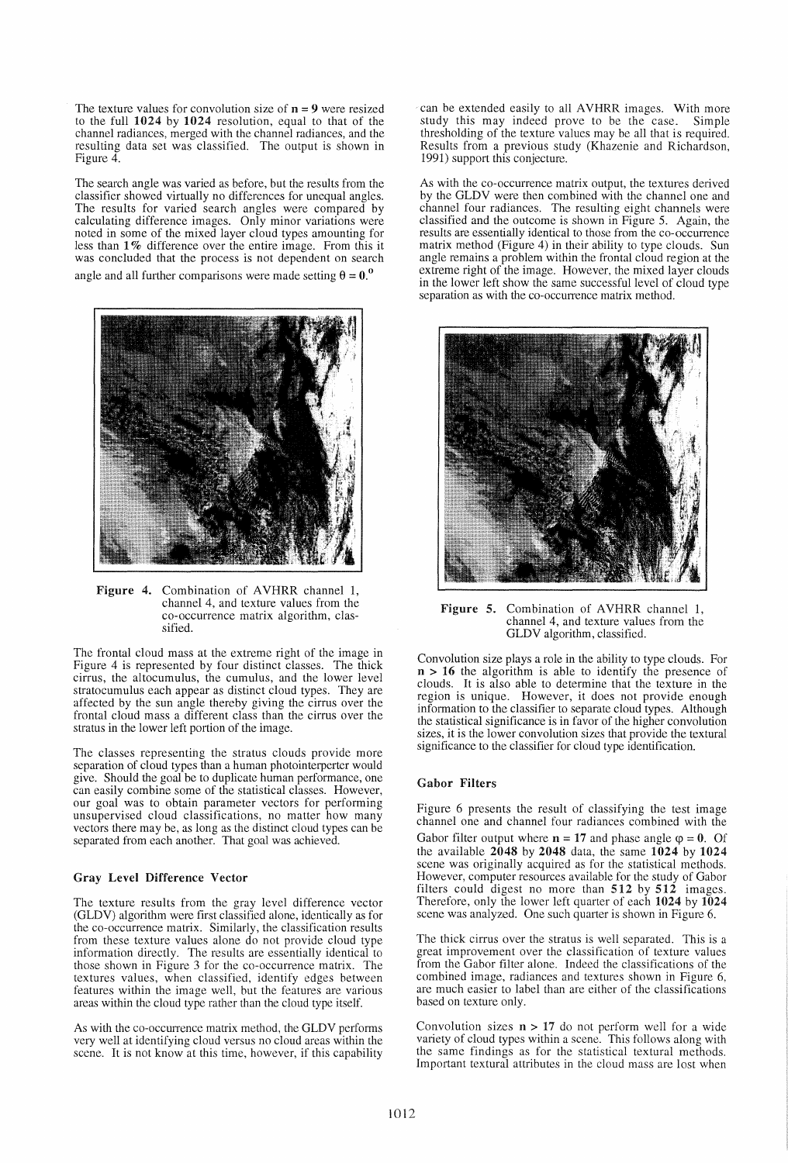The texture values for convolution size of  $n = 9$  were resized to the full 1024 by 1024 resolution, equal to that of the channel radiances, merged with the channel radiances, and the resulting data set was classified. The output is shown in Figure 4.

The search angle was varied as before, but the results from the classifier showed virtually no differences for unequal angles. The results for varied search angles were compared by calculating difference images. Only minor variations were noted in some of the mixed layer cloud types amounting for less than 1 % difference over the entire image. From this it was concluded that the process is not dependent on search angle and all further comparisons were made setting  $\theta = 0$ .



Figure 4. Combination of AVHRR channel 1, channel 4, and texture values from the co-occurrence matrix algorithm, classified.

The frontal cloud mass at the extreme right of the image in Figure 4 is represented by four distinct classes. The thick cirrus, the altocumulus, the cumulus, and the lower level stratocumulus each appear as distinct cloud types. They are affected by the sun angle thereby giving the cirrus over the frontal cloud mass a different class than the cirrus over the stratus in the lower left portion of the image.

The classes representing the stratus clouds provide more separation of cloud types than a human photointerperter would give. Should the goal be to duplicate human performance, one can easily combine some of the statistical classes. However, our goal was to obtain parameter vectors for performing unsupervised cloud classifications, no matter how many vectors there may be, as long as the distinct cloud types can be separated from each another. That goal was achieved.

## Gray Level Difference Vector

The texture results from the gray level difference vector (GLDV) algorithm were first classified alone, identically as for the co-occurrence matrix. Similarly, the classification results from these texture values alone do not provide cloud type information directly. The results are essentially identical to those shown in Figure 3 for the co-occurrence matrix. The textures values, when classified, identify edges between features within the image well, but the features are various areas within the cloud type rather than the cloud type itself.

As with the co-occurrence matrix method, the GLDV performs very well at identifying cloud versus no cloud areas within the scene. It is not know at this time, however, if this capability can be extended easily to all AVHRR images. With more study this may indeed prove to be the case. Simple thresholding of the texture values may be all that is required. Results from a previous study (Khazenie and Richardson, 1991) support this conjecture.

As with the co-occurrence matrix output, the textures derived by the GLDV were then combined with the channel one and channel four radiances. The resulting eight channels were classified and the outcome is shown in Figure 5. Again, the results are essentially identical to those from the co-occurrence matrix method (Figure 4) in their ability to type clouds. Sun angle remains a problem within the frontal cloud region at the extreme right of the image. However, the mixed layer clouds in the lower left show the same successful level of cloud type separation as with the co-occurrence matrix method.



Figure 5. Combination of AVHRR channel 1, channel 4, and texture values from the GLDV algorithm, classified.

Convolution size plays a role in the ability to type clouds. For  $n > 16$  the algorithm is able to identify the presence of clouds. It is also able to determine that the texture in the region is unique. However, it does not provide enough information to the classifier to separate cloud types. Although the statistical significance is in favor of the higher convolution sizes, it is the lower convolution sizes that provide the textural significance to the classifier for cloud type identification.

## Gabor Filters

Figure 6 presents the result of classifying the test image channel one and channel four radiances combined with the Gabor filter output where  $n = 17$  and phase angle  $\varphi = 0$ . Of the available 2048 by 2048 data, the same 1024 by 1024 scene was originally acquired as for the statistical methods. However, computer resources available for the study of Gabor filters could digest no more than  $512$  by  $512$  images. Therefore, only the lower left quarter of each 1024 by 1024 scene was analyzed. One such quarter is shown in Figure 6.

The thick cirrus over the stratus is well separated. This is a great improvement over the classification of texture values from the Gabor filter alone. Indeed the classifications of the combined image, radiances and textures shown in Figure 6, are much easier to label than are either of the classifications based on texture only.

Convolution sizes  $n > 17$  do not perform well for a wide variety of cloud types within a scene. This follows along with the same findings as for the statistical textural methods. Important textural attributes in the cloud mass are lost when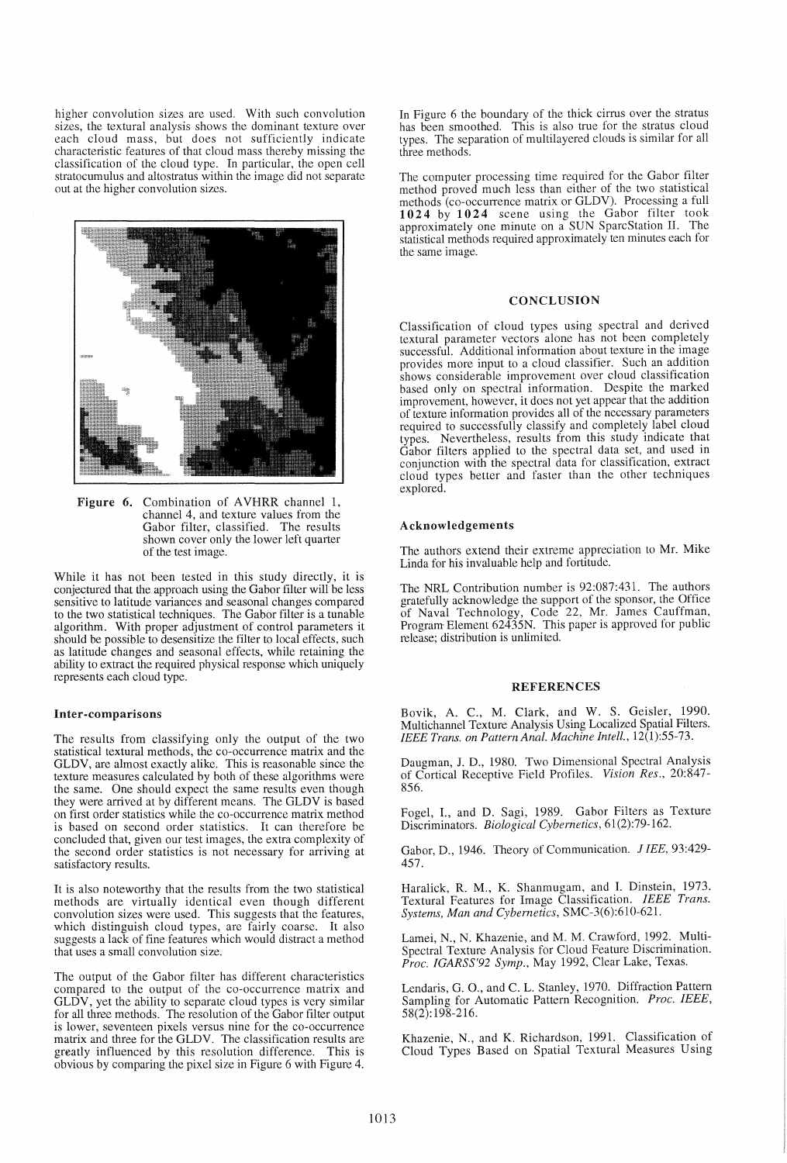higher convolution sizes are used. With such convolution sizes, the textural analysis shows the dominant texture over each cloud mass, but does not sufficiently indicate characteristic features of that cloud mass thereby missing the classification of the cloud type. In particular, the open cell stratocumulus and altostratus within the image did not separate out at the higher convolution sizes.



Figure 6. Combination of AVHRR channel 1, channel 4, and texture values from the Gabor filter, classified. The results shown cover only the lower left quarter of the test image.

While it has not been tested in this study directly, it is conjectured that the approach using the Gabor filter will be less sensitive to latitude variances and seasonal changes compared to the two statistical techniques. The Gabor filter is a tunable algorithm. With proper adjustment of control parameters it should be possible to desensitize the filter to local effects, such as latitude changes and seasonal effects, while retaining the ability to extract the required physical response which uniquely represents each cloud type.

#### Inter-comparisons

The results from classifying only the output of the two statistical textural methods, the co-occurrence matrix and the GLDV, are almost exactly alike. This is reasonable since the texture measures calculated by both of these algorithms were the same. One should expect the same results even though they were arrived at by different means. The GLDV is based on first order statistics while the co-occurrence matrix method is based on second order statistics. It can therefore be concluded that, given our test images, the extra complexity of the second order statistics is not necessary for arriving at satisfactory results.

It is also noteworthy that the results from the two statistical methods are virtually identical even though different convolution sizes were used. This suggests that the features, which distinguish cloud types, are fairly coarse. It also suggests a lack of fine features which would distract a method that uses a small convolution size.

The output of the Gabor filter has different characteristics compared to the output of the co-occurrence matrix and GLDV, yet the ability to separate cloud types is very similar for all three methods. The resolution of the Gabor filter output is lower, seventeen pixels versus nine for the co-occurrence matrix and three for the GLDY. The classification results are greatly influenced by this resolution difference. This is obvious by comparing the pixel size in Figure 6 with Figure 4.

In Figure 6 the boundary of the thick cirrus over the stratus has been smoothed. This is also true for the stratus cloud types. The separation of multilayered clouds is similar for all three methods.

The computer processing time required for the Gabor filter method proved much less than either of the two statistical methods (co-occurrence matrix or GLDV). Processing a full 1024 by 1024 scene using the Gabor filter took approximately one minute on a SUN SparcStation II. The statistical methods required approximately ten minutes each for the same image.

## **CONCLUSION**

Classification of cloud types using spectral and derived textural parameter vectors alone has not been completely successful. Additional information about texture in the image provides more input to a cloud classifier. Such an addition shows considerable improvement over cloud classification based only on spectral information. Despite the marked improvement, however, it does not yet appear that the addition of texture information provides all of the necessary parameters required to successfully classify and completely label cloud types. Nevertheless, results from this study indicate that Gabor filters applied to the spectral data set, and used in conjunction with the spectral data for classification, extract cloud types better and faster than the other techniques explored.

#### Acknowledgements

The authors extend their extreme appreciation to Mr. Mike Linda for his invaluable help and fortitude.

The NRL Contribution number is 92:087:431. The authors gratefully acknowledge the support of the sponsor, the Office of Naval Technology, Code 22, Mr. James Cauffman, Program Element 62435N. This paper is approved for public release; distribution is unlimited.

#### REFERENCES

Bovik, A. C., M. Clark, and W. S. Geisler, 1990. Multichannel Texture Analysis Using Localized Spatial Filters. *IEEE Trans. on Pattern Anal. Machine In tell.* , 12(1):55-73.

Daugman, J. D., 1980. Two Dimensional Spectral Analysis of Cortical Receptive Field Profiles. *Vision Res., 20:847-* 856.

Fogel, I., and D. Sagi, 1989. Gabor Filters as Texture Discriminators. *Biological Cybernetics, 61(2):79-162.* 

Gabor, D., 1946. Theory of Communication. J lEE, *93:429-* 457.

Haralick, R. M., K. Shanmugam, and I. Dinstein, 1973. Textural Features for Image Classification. *IEEE Trans. System5, Man and Cybernetics,* SMC-3(6):610-621.

Lamei, N., N. Khazenie, and M. M. Crawford, 1992. Multi-Spectral Texture Analysis for Cloud Feature Discrimination. *Proc. IGARSS'92 Symp.,* May 1992, Clear Lake, Texas.

Lendaris, G. 0., and C. L. Stanley, 1970. Diffraction Pattern Sampling for Automatic Pattern Recognition. *Proc. IEEE,*  58(2): 198-216.

Khazenie, N., and K. Richardson, 1991. Classification of Cloud Types Based on Spatial Textural Measures Using